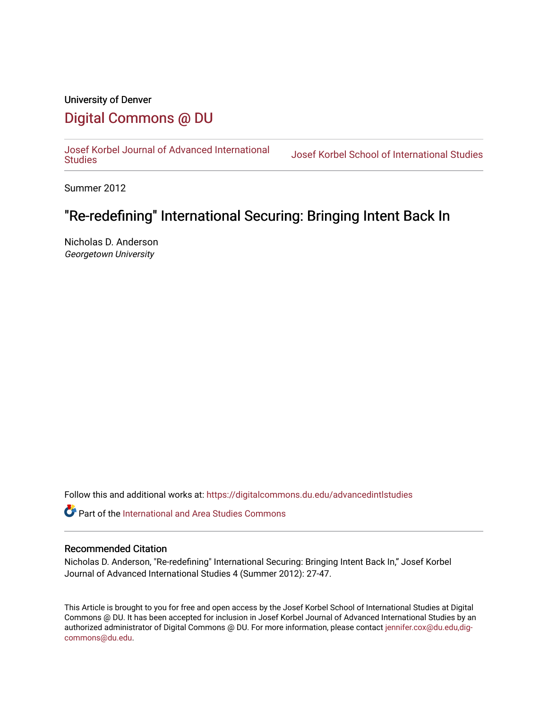# University of Denver [Digital Commons @ DU](https://digitalcommons.du.edu/)

[Josef Korbel Journal of Advanced International](https://digitalcommons.du.edu/advancedintlstudies) 

Josef Korbel School of International Studies

Summer 2012

# "Re-redefining" International Securing: Bringing Intent Back In

Nicholas D. Anderson Georgetown University

Follow this and additional works at: [https://digitalcommons.du.edu/advancedintlstudies](https://digitalcommons.du.edu/advancedintlstudies?utm_source=digitalcommons.du.edu%2Fadvancedintlstudies%2F6&utm_medium=PDF&utm_campaign=PDFCoverPages)

Part of the [International and Area Studies Commons](http://network.bepress.com/hgg/discipline/360?utm_source=digitalcommons.du.edu%2Fadvancedintlstudies%2F6&utm_medium=PDF&utm_campaign=PDFCoverPages) 

#### Recommended Citation

Nicholas D. Anderson, "Re-redefining" International Securing: Bringing Intent Back In," Josef Korbel Journal of Advanced International Studies 4 (Summer 2012): 27-47.

This Article is brought to you for free and open access by the Josef Korbel School of International Studies at Digital Commons @ DU. It has been accepted for inclusion in Josef Korbel Journal of Advanced International Studies by an authorized administrator of Digital Commons @ DU. For more information, please contact [jennifer.cox@du.edu,dig](mailto:jennifer.cox@du.edu,dig-commons@du.edu)[commons@du.edu.](mailto:jennifer.cox@du.edu,dig-commons@du.edu)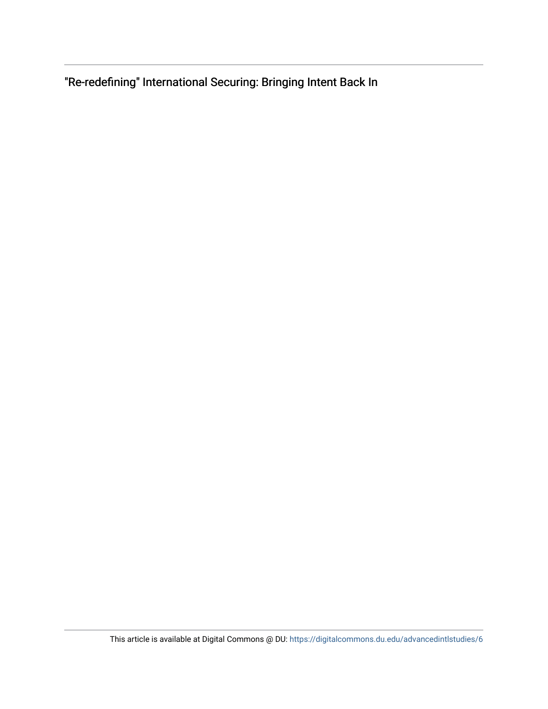"Re-redefining" International Securing: Bringing Intent Back In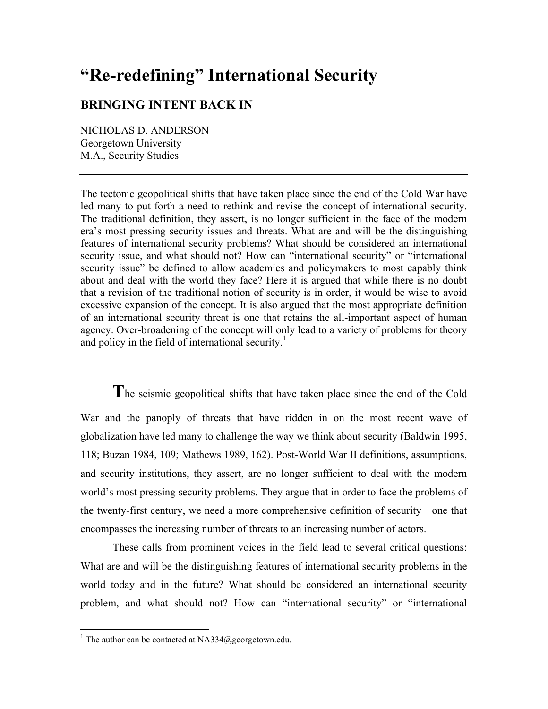# **"Re-redefining" International Security**

## **BRINGING INTENT BACK IN**

NICHOLAS D. ANDERSON Georgetown University M.A., Security Studies

The tectonic geopolitical shifts that have taken place since the end of the Cold War have led many to put forth a need to rethink and revise the concept of international security. The traditional definition, they assert, is no longer sufficient in the face of the modern era's most pressing security issues and threats. What are and will be the distinguishing features of international security problems? What should be considered an international security issue, and what should not? How can "international security" or "international security issue" be defined to allow academics and policymakers to most capably think about and deal with the world they face? Here it is argued that while there is no doubt that a revision of the traditional notion of security is in order, it would be wise to avoid excessive expansion of the concept. It is also argued that the most appropriate definition of an international security threat is one that retains the all-important aspect of human agency. Over-broadening of the concept will only lead to a variety of problems for theory and policy in the field of international security.<sup>1</sup>

**T**he seismic geopolitical shifts that have taken place since the end of the Cold War and the panoply of threats that have ridden in on the most recent wave of globalization have led many to challenge the way we think about security (Baldwin 1995, 118; Buzan 1984, 109; Mathews 1989, 162). Post-World War II definitions, assumptions, and security institutions, they assert, are no longer sufficient to deal with the modern world's most pressing security problems. They argue that in order to face the problems of the twenty-first century, we need a more comprehensive definition of security—one that encompasses the increasing number of threats to an increasing number of actors.

These calls from prominent voices in the field lead to several critical questions: What are and will be the distinguishing features of international security problems in the world today and in the future? What should be considered an international security problem, and what should not? How can "international security" or "international

 $\frac{1}{1}$ <sup>1</sup> The author can be contacted at NA334@georgetown.edu.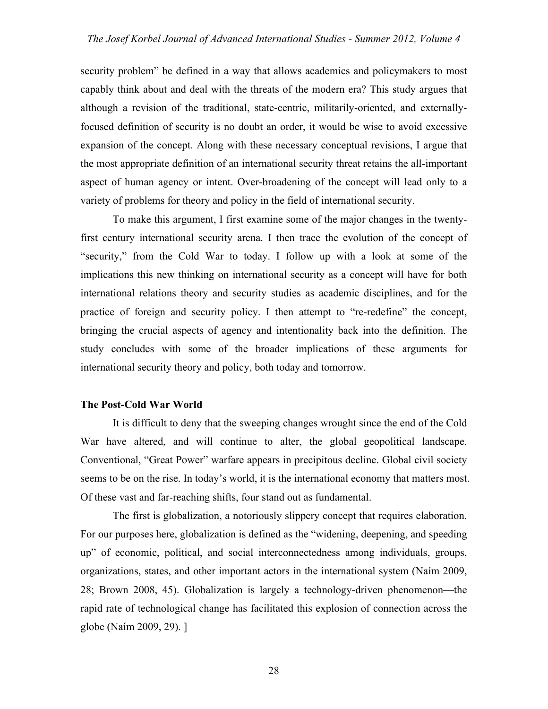security problem" be defined in a way that allows academics and policymakers to most capably think about and deal with the threats of the modern era? This study argues that although a revision of the traditional, state-centric, militarily-oriented, and externallyfocused definition of security is no doubt an order, it would be wise to avoid excessive expansion of the concept. Along with these necessary conceptual revisions, I argue that the most appropriate definition of an international security threat retains the all-important aspect of human agency or intent. Over-broadening of the concept will lead only to a variety of problems for theory and policy in the field of international security.

To make this argument, I first examine some of the major changes in the twentyfirst century international security arena. I then trace the evolution of the concept of "security," from the Cold War to today. I follow up with a look at some of the implications this new thinking on international security as a concept will have for both international relations theory and security studies as academic disciplines, and for the practice of foreign and security policy. I then attempt to "re-redefine" the concept, bringing the crucial aspects of agency and intentionality back into the definition. The study concludes with some of the broader implications of these arguments for international security theory and policy, both today and tomorrow.

#### **The Post-Cold War World**

It is difficult to deny that the sweeping changes wrought since the end of the Cold War have altered, and will continue to alter, the global geopolitical landscape. Conventional, "Great Power" warfare appears in precipitous decline. Global civil society seems to be on the rise. In today's world, it is the international economy that matters most. Of these vast and far-reaching shifts, four stand out as fundamental.

The first is globalization, a notoriously slippery concept that requires elaboration. For our purposes here, globalization is defined as the "widening, deepening, and speeding up" of economic, political, and social interconnectedness among individuals, groups, organizations, states, and other important actors in the international system (Naím 2009, 28; Brown 2008, 45). Globalization is largely a technology-driven phenomenon—the rapid rate of technological change has facilitated this explosion of connection across the globe (Naím 2009, 29). ]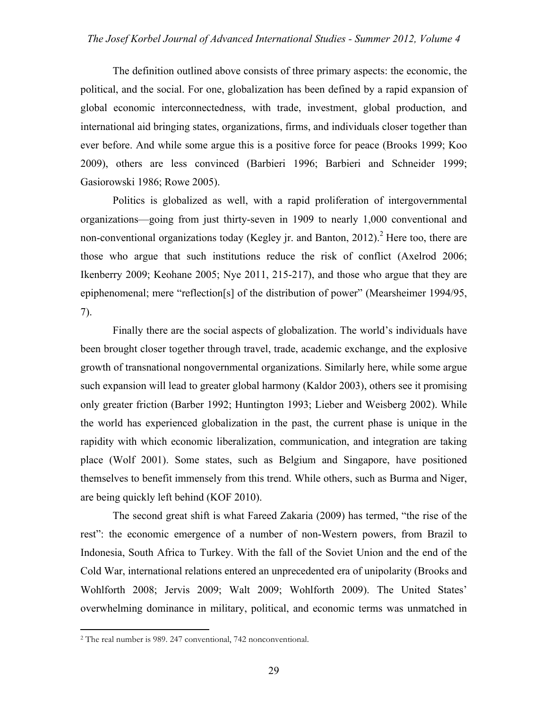#### *The Josef Korbel Journal of Advanced International Studies - Summer 2012, Volume 4*

The definition outlined above consists of three primary aspects: the economic, the political, and the social. For one, globalization has been defined by a rapid expansion of global economic interconnectedness, with trade, investment, global production, and international aid bringing states, organizations, firms, and individuals closer together than ever before. And while some argue this is a positive force for peace (Brooks 1999; Koo 2009), others are less convinced (Barbieri 1996; Barbieri and Schneider 1999; Gasiorowski 1986; Rowe 2005).

Politics is globalized as well, with a rapid proliferation of intergovernmental organizations—going from just thirty-seven in 1909 to nearly 1,000 conventional and non-conventional organizations today (Kegley jr. and Banton, 2012).<sup>2</sup> Here too, there are those who argue that such institutions reduce the risk of conflict (Axelrod 2006; Ikenberry 2009; Keohane 2005; Nye 2011, 215-217), and those who argue that they are epiphenomenal; mere "reflection[s] of the distribution of power" (Mearsheimer 1994/95, 7).

Finally there are the social aspects of globalization. The world's individuals have been brought closer together through travel, trade, academic exchange, and the explosive growth of transnational nongovernmental organizations. Similarly here, while some argue such expansion will lead to greater global harmony (Kaldor 2003), others see it promising only greater friction (Barber 1992; Huntington 1993; Lieber and Weisberg 2002). While the world has experienced globalization in the past, the current phase is unique in the rapidity with which economic liberalization, communication, and integration are taking place (Wolf 2001). Some states, such as Belgium and Singapore, have positioned themselves to benefit immensely from this trend. While others, such as Burma and Niger, are being quickly left behind (KOF 2010).

The second great shift is what Fareed Zakaria (2009) has termed, "the rise of the rest": the economic emergence of a number of non-Western powers, from Brazil to Indonesia, South Africa to Turkey. With the fall of the Soviet Union and the end of the Cold War, international relations entered an unprecedented era of unipolarity (Brooks and Wohlforth 2008; Jervis 2009; Walt 2009; Wohlforth 2009). The United States' overwhelming dominance in military, political, and economic terms was unmatched in

 $\overline{a}$ 

<sup>2</sup> The real number is 989. 247 conventional, 742 nonconventional.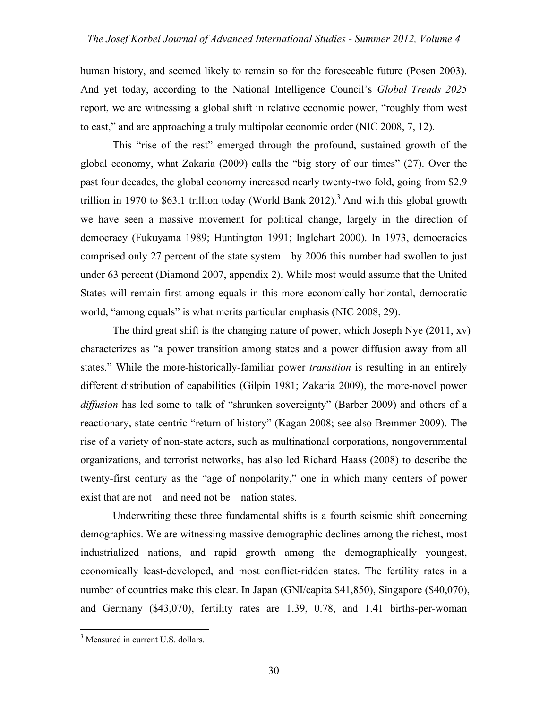human history, and seemed likely to remain so for the foreseeable future (Posen 2003). And yet today, according to the National Intelligence Council's *Global Trends 2025* report, we are witnessing a global shift in relative economic power, "roughly from west to east," and are approaching a truly multipolar economic order (NIC 2008, 7, 12).

This "rise of the rest" emerged through the profound, sustained growth of the global economy, what Zakaria (2009) calls the "big story of our times" (27). Over the past four decades, the global economy increased nearly twenty-two fold, going from \$2.9 trillion in 1970 to \$63.1 trillion today (World Bank 2012).<sup>3</sup> And with this global growth we have seen a massive movement for political change, largely in the direction of democracy (Fukuyama 1989; Huntington 1991; Inglehart 2000). In 1973, democracies comprised only 27 percent of the state system—by 2006 this number had swollen to just under 63 percent (Diamond 2007, appendix 2). While most would assume that the United States will remain first among equals in this more economically horizontal, democratic world, "among equals" is what merits particular emphasis (NIC 2008, 29).

The third great shift is the changing nature of power, which Joseph Nye (2011, xv) characterizes as "a power transition among states and a power diffusion away from all states." While the more-historically-familiar power *transition* is resulting in an entirely different distribution of capabilities (Gilpin 1981; Zakaria 2009), the more-novel power *diffusion* has led some to talk of "shrunken sovereignty" (Barber 2009) and others of a reactionary, state-centric "return of history" (Kagan 2008; see also Bremmer 2009). The rise of a variety of non-state actors, such as multinational corporations, nongovernmental organizations, and terrorist networks, has also led Richard Haass (2008) to describe the twenty-first century as the "age of nonpolarity," one in which many centers of power exist that are not—and need not be—nation states.

Underwriting these three fundamental shifts is a fourth seismic shift concerning demographics. We are witnessing massive demographic declines among the richest, most industrialized nations, and rapid growth among the demographically youngest, economically least-developed, and most conflict-ridden states. The fertility rates in a number of countries make this clear. In Japan (GNI/capita \$41,850), Singapore (\$40,070), and Germany (\$43,070), fertility rates are 1.39, 0.78, and 1.41 births-per-woman

 <sup>3</sup> <sup>3</sup> Measured in current U.S. dollars.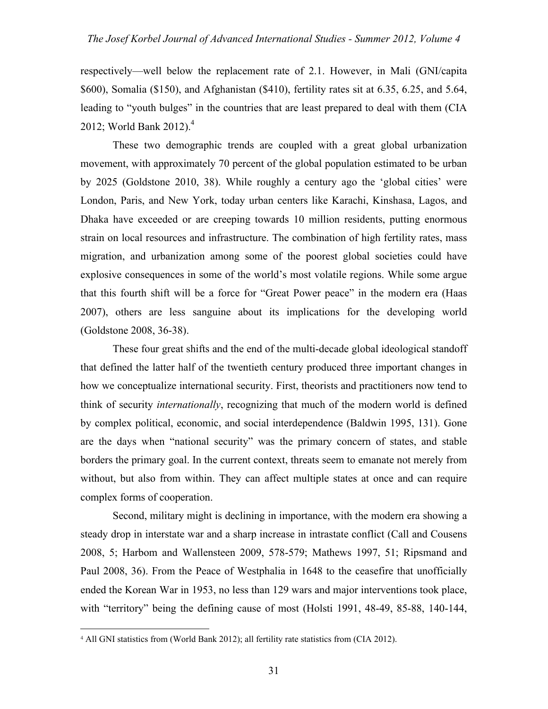respectively—well below the replacement rate of 2.1. However, in Mali (GNI/capita \$600), Somalia (\$150), and Afghanistan (\$410), fertility rates sit at 6.35, 6.25, and 5.64, leading to "youth bulges" in the countries that are least prepared to deal with them (CIA 2012; World Bank 2012).<sup>4</sup>

These two demographic trends are coupled with a great global urbanization movement, with approximately 70 percent of the global population estimated to be urban by 2025 (Goldstone 2010, 38). While roughly a century ago the 'global cities' were London, Paris, and New York, today urban centers like Karachi, Kinshasa, Lagos, and Dhaka have exceeded or are creeping towards 10 million residents, putting enormous strain on local resources and infrastructure. The combination of high fertility rates, mass migration, and urbanization among some of the poorest global societies could have explosive consequences in some of the world's most volatile regions. While some argue that this fourth shift will be a force for "Great Power peace" in the modern era (Haas 2007), others are less sanguine about its implications for the developing world (Goldstone 2008, 36-38).

These four great shifts and the end of the multi-decade global ideological standoff that defined the latter half of the twentieth century produced three important changes in how we conceptualize international security. First, theorists and practitioners now tend to think of security *internationally*, recognizing that much of the modern world is defined by complex political, economic, and social interdependence (Baldwin 1995, 131). Gone are the days when "national security" was the primary concern of states, and stable borders the primary goal. In the current context, threats seem to emanate not merely from without, but also from within. They can affect multiple states at once and can require complex forms of cooperation.

Second, military might is declining in importance, with the modern era showing a steady drop in interstate war and a sharp increase in intrastate conflict (Call and Cousens 2008, 5; Harbom and Wallensteen 2009, 578-579; Mathews 1997, 51; Ripsmand and Paul 2008, 36). From the Peace of Westphalia in 1648 to the ceasefire that unofficially ended the Korean War in 1953, no less than 129 wars and major interventions took place, with "territory" being the defining cause of most (Holsti 1991, 48-49, 85-88, 140-144,

 $\overline{a}$ 

<sup>4</sup> All GNI statistics from (World Bank 2012); all fertility rate statistics from (CIA 2012).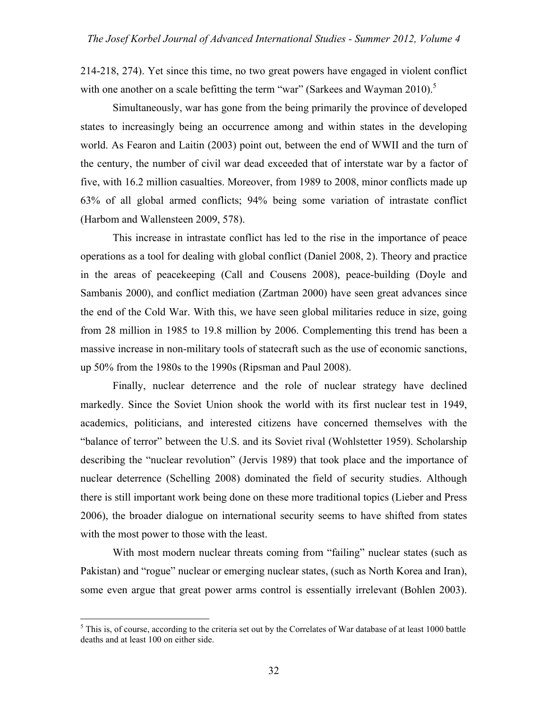214-218, 274). Yet since this time, no two great powers have engaged in violent conflict with one another on a scale befitting the term "war" (Sarkees and Wayman 2010).<sup>5</sup>

Simultaneously, war has gone from the being primarily the province of developed states to increasingly being an occurrence among and within states in the developing world. As Fearon and Laitin (2003) point out, between the end of WWII and the turn of the century, the number of civil war dead exceeded that of interstate war by a factor of five, with 16.2 million casualties. Moreover, from 1989 to 2008, minor conflicts made up 63% of all global armed conflicts; 94% being some variation of intrastate conflict (Harbom and Wallensteen 2009, 578).

This increase in intrastate conflict has led to the rise in the importance of peace operations as a tool for dealing with global conflict (Daniel 2008, 2). Theory and practice in the areas of peacekeeping (Call and Cousens 2008), peace-building (Doyle and Sambanis 2000), and conflict mediation (Zartman 2000) have seen great advances since the end of the Cold War. With this, we have seen global militaries reduce in size, going from 28 million in 1985 to 19.8 million by 2006. Complementing this trend has been a massive increase in non-military tools of statecraft such as the use of economic sanctions, up 50% from the 1980s to the 1990s (Ripsman and Paul 2008).

Finally, nuclear deterrence and the role of nuclear strategy have declined markedly. Since the Soviet Union shook the world with its first nuclear test in 1949, academics, politicians, and interested citizens have concerned themselves with the "balance of terror" between the U.S. and its Soviet rival (Wohlstetter 1959). Scholarship describing the "nuclear revolution" (Jervis 1989) that took place and the importance of nuclear deterrence (Schelling 2008) dominated the field of security studies. Although there is still important work being done on these more traditional topics (Lieber and Press 2006), the broader dialogue on international security seems to have shifted from states with the most power to those with the least.

With most modern nuclear threats coming from "failing" nuclear states (such as Pakistan) and "rogue" nuclear or emerging nuclear states, (such as North Korea and Iran), some even argue that great power arms control is essentially irrelevant (Bohlen 2003).

 <sup>5</sup>  $<sup>5</sup>$  This is, of course, according to the criteria set out by the Correlates of War database of at least 1000 battle</sup> deaths and at least 100 on either side.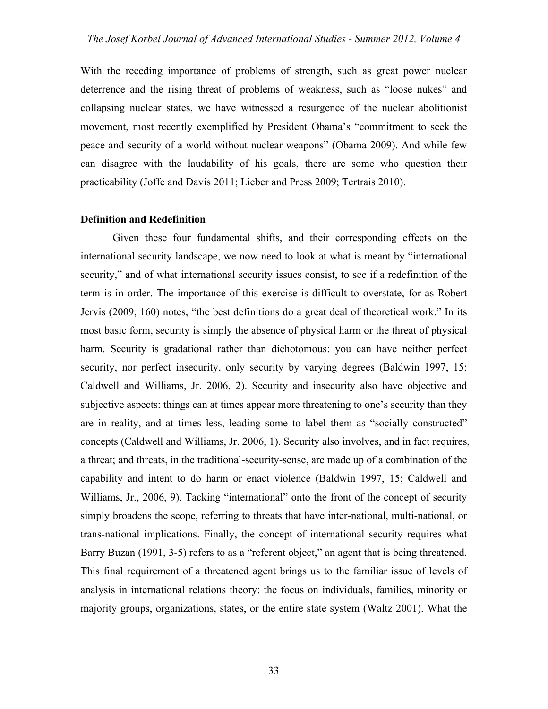With the receding importance of problems of strength, such as great power nuclear deterrence and the rising threat of problems of weakness, such as "loose nukes" and collapsing nuclear states, we have witnessed a resurgence of the nuclear abolitionist movement, most recently exemplified by President Obama's "commitment to seek the peace and security of a world without nuclear weapons" (Obama 2009). And while few can disagree with the laudability of his goals, there are some who question their practicability (Joffe and Davis 2011; Lieber and Press 2009; Tertrais 2010).

#### **Definition and Redefinition**

Given these four fundamental shifts, and their corresponding effects on the international security landscape, we now need to look at what is meant by "international security," and of what international security issues consist, to see if a redefinition of the term is in order. The importance of this exercise is difficult to overstate, for as Robert Jervis (2009, 160) notes, "the best definitions do a great deal of theoretical work." In its most basic form, security is simply the absence of physical harm or the threat of physical harm. Security is gradational rather than dichotomous: you can have neither perfect security, nor perfect insecurity, only security by varying degrees (Baldwin 1997, 15; Caldwell and Williams, Jr. 2006, 2). Security and insecurity also have objective and subjective aspects: things can at times appear more threatening to one's security than they are in reality, and at times less, leading some to label them as "socially constructed" concepts (Caldwell and Williams, Jr. 2006, 1). Security also involves, and in fact requires, a threat; and threats, in the traditional-security-sense, are made up of a combination of the capability and intent to do harm or enact violence (Baldwin 1997, 15; Caldwell and Williams, Jr., 2006, 9). Tacking "international" onto the front of the concept of security simply broadens the scope, referring to threats that have inter-national, multi-national, or trans-national implications. Finally, the concept of international security requires what Barry Buzan (1991, 3-5) refers to as a "referent object," an agent that is being threatened. This final requirement of a threatened agent brings us to the familiar issue of levels of analysis in international relations theory: the focus on individuals, families, minority or majority groups, organizations, states, or the entire state system (Waltz 2001). What the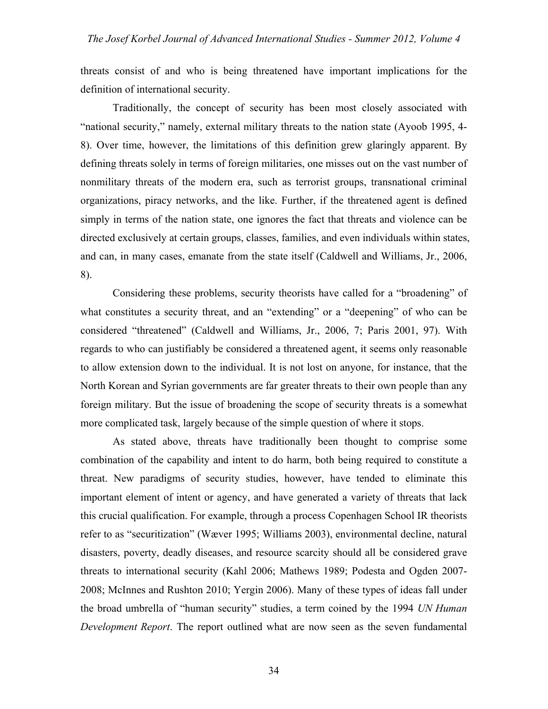threats consist of and who is being threatened have important implications for the definition of international security.

Traditionally, the concept of security has been most closely associated with "national security," namely, external military threats to the nation state (Ayoob 1995, 4- 8). Over time, however, the limitations of this definition grew glaringly apparent. By defining threats solely in terms of foreign militaries, one misses out on the vast number of nonmilitary threats of the modern era, such as terrorist groups, transnational criminal organizations, piracy networks, and the like. Further, if the threatened agent is defined simply in terms of the nation state, one ignores the fact that threats and violence can be directed exclusively at certain groups, classes, families, and even individuals within states, and can, in many cases, emanate from the state itself (Caldwell and Williams, Jr., 2006, 8).

Considering these problems, security theorists have called for a "broadening" of what constitutes a security threat, and an "extending" or a "deepening" of who can be considered "threatened" (Caldwell and Williams, Jr., 2006, 7; Paris 2001, 97). With regards to who can justifiably be considered a threatened agent, it seems only reasonable to allow extension down to the individual. It is not lost on anyone, for instance, that the North Korean and Syrian governments are far greater threats to their own people than any foreign military. But the issue of broadening the scope of security threats is a somewhat more complicated task, largely because of the simple question of where it stops.

As stated above, threats have traditionally been thought to comprise some combination of the capability and intent to do harm, both being required to constitute a threat. New paradigms of security studies, however, have tended to eliminate this important element of intent or agency, and have generated a variety of threats that lack this crucial qualification. For example, through a process Copenhagen School IR theorists refer to as "securitization" (Wæver 1995; Williams 2003), environmental decline, natural disasters, poverty, deadly diseases, and resource scarcity should all be considered grave threats to international security (Kahl 2006; Mathews 1989; Podesta and Ogden 2007- 2008; McInnes and Rushton 2010; Yergin 2006). Many of these types of ideas fall under the broad umbrella of "human security" studies, a term coined by the 1994 *UN Human Development Report*. The report outlined what are now seen as the seven fundamental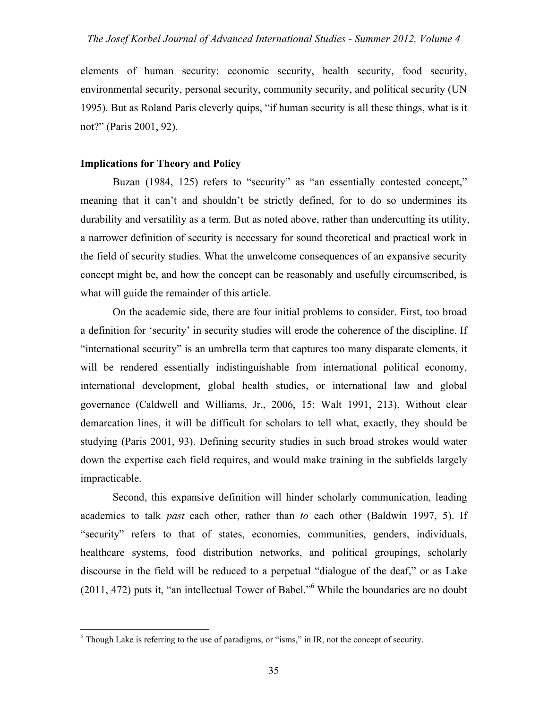elements of human security: economic security, health security, food security, environmental security, personal security, community security, and political security (UN 1995). But as Roland Paris cleverly quips, "if human security is all these things, what is it not?" (Paris 2001, 92).

### **Implications for Theory and Policy**

Buzan (1984, 125) refers to "security" as "an essentially contested concept," meaning that it can't and shouldn't be strictly defined, for to do so undermines its durability and versatility as a term. But as noted above, rather than undercutting its utility, a narrower definition of security is necessary for sound theoretical and practical work in the field of security studies. What the unwelcome consequences of an expansive security concept might be, and how the concept can be reasonably and usefully circumscribed, is what will guide the remainder of this article.

On the academic side, there are four initial problems to consider. First, too broad a definition for 'security' in security studies will erode the coherence of the discipline. If "international security" is an umbrella term that captures too many disparate elements, it will be rendered essentially indistinguishable from international political economy, international development, global health studies, or international law and global governance (Caldwell and Williams, Jr., 2006, 15; Walt 1991, 213). Without clear demarcation lines, it will be difficult for scholars to tell what, exactly, they should be studying (Paris 2001, 93). Defining security studies in such broad strokes would water down the expertise each field requires, and would make training in the subfields largely impracticable.

Second, this expansive definition will hinder scholarly communication, leading academics to talk *past* each other, rather than *to* each other (Baldwin 1997, 5). If "security" refers to that of states, economies, communities, genders, individuals, healthcare systems, food distribution networks, and political groupings, scholarly discourse in the field will be reduced to a perpetual "dialogue of the deaf," or as Lake (2011, 472) puts it, "an intellectual Tower of Babel."6 While the boundaries are no doubt

 $\frac{1}{6}$  $6$  Though Lake is referring to the use of paradigms, or "isms," in IR, not the concept of security.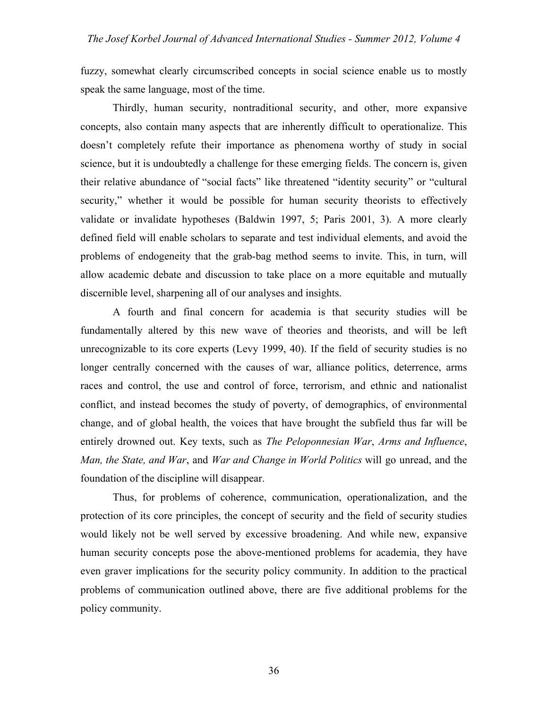fuzzy, somewhat clearly circumscribed concepts in social science enable us to mostly speak the same language, most of the time.

Thirdly, human security, nontraditional security, and other, more expansive concepts, also contain many aspects that are inherently difficult to operationalize. This doesn't completely refute their importance as phenomena worthy of study in social science, but it is undoubtedly a challenge for these emerging fields. The concern is, given their relative abundance of "social facts" like threatened "identity security" or "cultural security," whether it would be possible for human security theorists to effectively validate or invalidate hypotheses (Baldwin 1997, 5; Paris 2001, 3). A more clearly defined field will enable scholars to separate and test individual elements, and avoid the problems of endogeneity that the grab-bag method seems to invite. This, in turn, will allow academic debate and discussion to take place on a more equitable and mutually discernible level, sharpening all of our analyses and insights.

A fourth and final concern for academia is that security studies will be fundamentally altered by this new wave of theories and theorists, and will be left unrecognizable to its core experts (Levy 1999, 40). If the field of security studies is no longer centrally concerned with the causes of war, alliance politics, deterrence, arms races and control, the use and control of force, terrorism, and ethnic and nationalist conflict, and instead becomes the study of poverty, of demographics, of environmental change, and of global health, the voices that have brought the subfield thus far will be entirely drowned out. Key texts, such as *The Peloponnesian War*, *Arms and Influence*, *Man, the State, and War*, and *War and Change in World Politics* will go unread, and the foundation of the discipline will disappear.

Thus, for problems of coherence, communication, operationalization, and the protection of its core principles, the concept of security and the field of security studies would likely not be well served by excessive broadening. And while new, expansive human security concepts pose the above-mentioned problems for academia, they have even graver implications for the security policy community. In addition to the practical problems of communication outlined above, there are five additional problems for the policy community.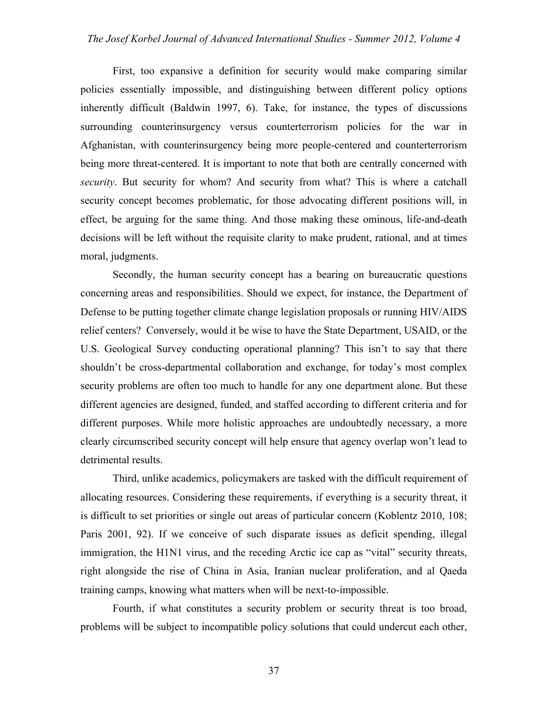First, too expansive a definition for security would make comparing similar policies essentially impossible, and distinguishing between different policy options inherently difficult (Baldwin 1997, 6). Take, for instance, the types of discussions surrounding counterinsurgency versus counterterrorism policies for the war in Afghanistan, with counterinsurgency being more people-centered and counterterrorism being more threat-centered. It is important to note that both are centrally concerned with *security*. But security for whom? And security from what? This is where a catchall security concept becomes problematic, for those advocating different positions will, in effect, be arguing for the same thing. And those making these ominous, life-and-death decisions will be left without the requisite clarity to make prudent, rational, and at times moral, judgments.

Secondly, the human security concept has a bearing on bureaucratic questions concerning areas and responsibilities. Should we expect, for instance, the Department of Defense to be putting together climate change legislation proposals or running HIV/AIDS relief centers? Conversely, would it be wise to have the State Department, USAID, or the U.S. Geological Survey conducting operational planning? This isn't to say that there shouldn't be cross-departmental collaboration and exchange, for today's most complex security problems are often too much to handle for any one department alone. But these different agencies are designed, funded, and staffed according to different criteria and for different purposes. While more holistic approaches are undoubtedly necessary, a more clearly circumscribed security concept will help ensure that agency overlap won't lead to detrimental results.

Third, unlike academics, policymakers are tasked with the difficult requirement of allocating resources. Considering these requirements, if everything is a security threat, it is difficult to set priorities or single out areas of particular concern (Koblentz 2010, 108; Paris 2001, 92). If we conceive of such disparate issues as deficit spending, illegal immigration, the H1N1 virus, and the receding Arctic ice cap as "vital" security threats, right alongside the rise of China in Asia, Iranian nuclear proliferation, and al Qaeda training camps, knowing what matters when will be next-to-impossible.

Fourth, if what constitutes a security problem or security threat is too broad, problems will be subject to incompatible policy solutions that could undercut each other,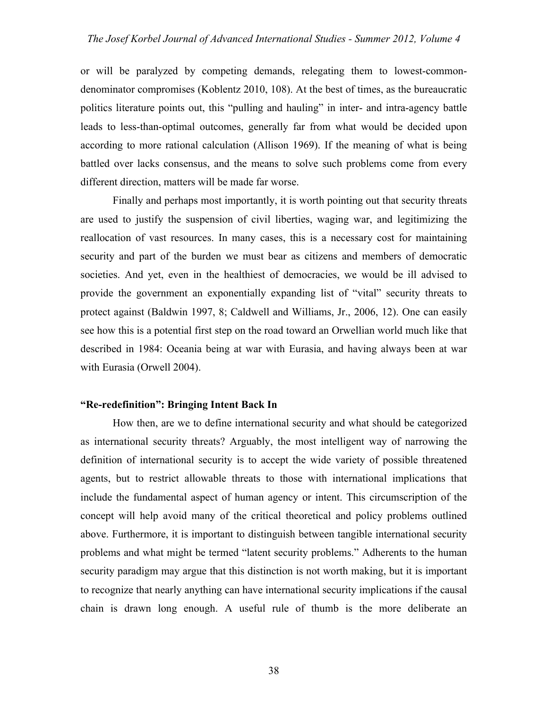or will be paralyzed by competing demands, relegating them to lowest-commondenominator compromises (Koblentz 2010, 108). At the best of times, as the bureaucratic politics literature points out, this "pulling and hauling" in inter- and intra-agency battle leads to less-than-optimal outcomes, generally far from what would be decided upon according to more rational calculation (Allison 1969). If the meaning of what is being battled over lacks consensus, and the means to solve such problems come from every different direction, matters will be made far worse.

Finally and perhaps most importantly, it is worth pointing out that security threats are used to justify the suspension of civil liberties, waging war, and legitimizing the reallocation of vast resources. In many cases, this is a necessary cost for maintaining security and part of the burden we must bear as citizens and members of democratic societies. And yet, even in the healthiest of democracies, we would be ill advised to provide the government an exponentially expanding list of "vital" security threats to protect against (Baldwin 1997, 8; Caldwell and Williams, Jr., 2006, 12). One can easily see how this is a potential first step on the road toward an Orwellian world much like that described in 1984: Oceania being at war with Eurasia, and having always been at war with Eurasia (Orwell 2004).

## **"Re-redefinition": Bringing Intent Back In**

How then, are we to define international security and what should be categorized as international security threats? Arguably, the most intelligent way of narrowing the definition of international security is to accept the wide variety of possible threatened agents, but to restrict allowable threats to those with international implications that include the fundamental aspect of human agency or intent. This circumscription of the concept will help avoid many of the critical theoretical and policy problems outlined above. Furthermore, it is important to distinguish between tangible international security problems and what might be termed "latent security problems." Adherents to the human security paradigm may argue that this distinction is not worth making, but it is important to recognize that nearly anything can have international security implications if the causal chain is drawn long enough. A useful rule of thumb is the more deliberate an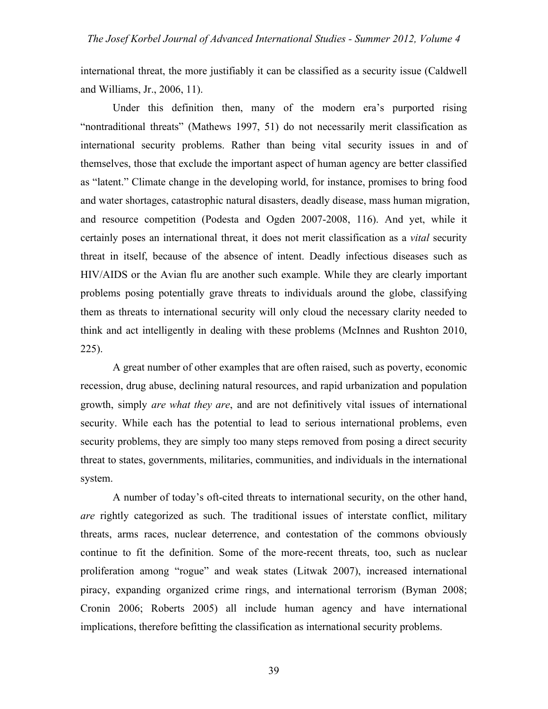international threat, the more justifiably it can be classified as a security issue (Caldwell and Williams, Jr., 2006, 11).

Under this definition then, many of the modern era's purported rising "nontraditional threats" (Mathews 1997, 51) do not necessarily merit classification as international security problems. Rather than being vital security issues in and of themselves, those that exclude the important aspect of human agency are better classified as "latent." Climate change in the developing world, for instance, promises to bring food and water shortages, catastrophic natural disasters, deadly disease, mass human migration, and resource competition (Podesta and Ogden 2007-2008, 116). And yet, while it certainly poses an international threat, it does not merit classification as a *vital* security threat in itself, because of the absence of intent. Deadly infectious diseases such as HIV/AIDS or the Avian flu are another such example. While they are clearly important problems posing potentially grave threats to individuals around the globe, classifying them as threats to international security will only cloud the necessary clarity needed to think and act intelligently in dealing with these problems (McInnes and Rushton 2010, 225).

A great number of other examples that are often raised, such as poverty, economic recession, drug abuse, declining natural resources, and rapid urbanization and population growth, simply *are what they are*, and are not definitively vital issues of international security. While each has the potential to lead to serious international problems, even security problems, they are simply too many steps removed from posing a direct security threat to states, governments, militaries, communities, and individuals in the international system.

A number of today's oft-cited threats to international security, on the other hand, *are* rightly categorized as such. The traditional issues of interstate conflict, military threats, arms races, nuclear deterrence, and contestation of the commons obviously continue to fit the definition. Some of the more-recent threats, too, such as nuclear proliferation among "rogue" and weak states (Litwak 2007), increased international piracy, expanding organized crime rings, and international terrorism (Byman 2008; Cronin 2006; Roberts 2005) all include human agency and have international implications, therefore befitting the classification as international security problems.

39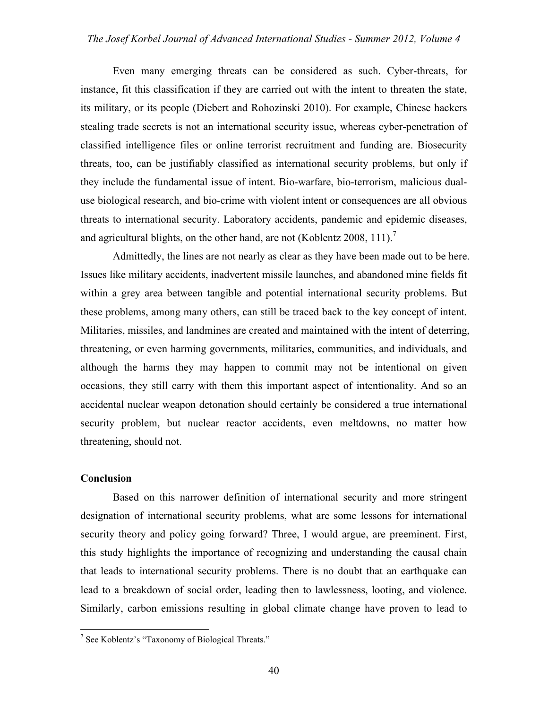Even many emerging threats can be considered as such. Cyber-threats, for instance, fit this classification if they are carried out with the intent to threaten the state, its military, or its people (Diebert and Rohozinski 2010). For example, Chinese hackers stealing trade secrets is not an international security issue, whereas cyber-penetration of classified intelligence files or online terrorist recruitment and funding are. Biosecurity threats, too, can be justifiably classified as international security problems, but only if they include the fundamental issue of intent. Bio-warfare, bio-terrorism, malicious dualuse biological research, and bio-crime with violent intent or consequences are all obvious threats to international security. Laboratory accidents, pandemic and epidemic diseases, and agricultural blights, on the other hand, are not (Koblentz 2008, 111).<sup>7</sup>

Admittedly, the lines are not nearly as clear as they have been made out to be here. Issues like military accidents, inadvertent missile launches, and abandoned mine fields fit within a grey area between tangible and potential international security problems. But these problems, among many others, can still be traced back to the key concept of intent. Militaries, missiles, and landmines are created and maintained with the intent of deterring, threatening, or even harming governments, militaries, communities, and individuals, and although the harms they may happen to commit may not be intentional on given occasions, they still carry with them this important aspect of intentionality. And so an accidental nuclear weapon detonation should certainly be considered a true international security problem, but nuclear reactor accidents, even meltdowns, no matter how threatening, should not.

#### **Conclusion**

Based on this narrower definition of international security and more stringent designation of international security problems, what are some lessons for international security theory and policy going forward? Three, I would argue, are preeminent. First, this study highlights the importance of recognizing and understanding the causal chain that leads to international security problems. There is no doubt that an earthquake can lead to a breakdown of social order, leading then to lawlessness, looting, and violence. Similarly, carbon emissions resulting in global climate change have proven to lead to

<sup>-&</sup>lt;br>7 <sup>7</sup> See Koblentz's "Taxonomy of Biological Threats."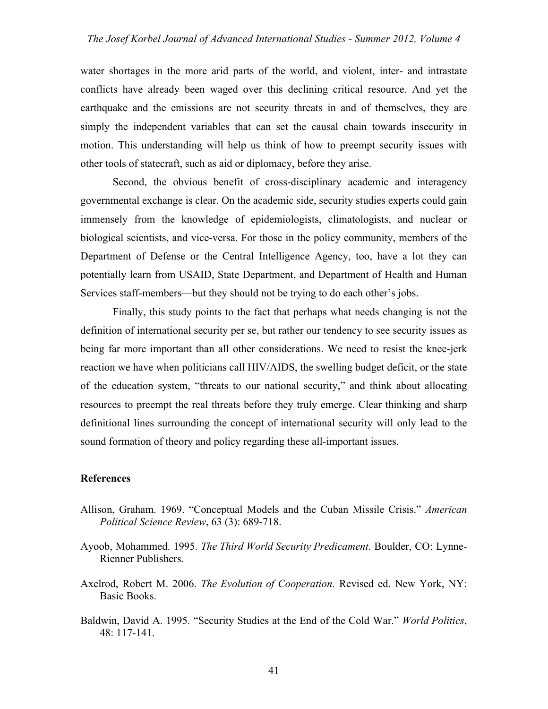water shortages in the more arid parts of the world, and violent, inter- and intrastate conflicts have already been waged over this declining critical resource. And yet the earthquake and the emissions are not security threats in and of themselves, they are simply the independent variables that can set the causal chain towards insecurity in motion. This understanding will help us think of how to preempt security issues with other tools of statecraft, such as aid or diplomacy, before they arise.

Second, the obvious benefit of cross-disciplinary academic and interagency governmental exchange is clear. On the academic side, security studies experts could gain immensely from the knowledge of epidemiologists, climatologists, and nuclear or biological scientists, and vice-versa. For those in the policy community, members of the Department of Defense or the Central Intelligence Agency, too, have a lot they can potentially learn from USAID, State Department, and Department of Health and Human Services staff-members—but they should not be trying to do each other's jobs.

Finally, this study points to the fact that perhaps what needs changing is not the definition of international security per se, but rather our tendency to see security issues as being far more important than all other considerations. We need to resist the knee-jerk reaction we have when politicians call HIV/AIDS, the swelling budget deficit, or the state of the education system, "threats to our national security," and think about allocating resources to preempt the real threats before they truly emerge. Clear thinking and sharp definitional lines surrounding the concept of international security will only lead to the sound formation of theory and policy regarding these all-important issues.

#### **References**

- Allison, Graham. 1969. "Conceptual Models and the Cuban Missile Crisis." *American Political Science Review*, 63 (3): 689-718.
- Ayoob, Mohammed. 1995. *The Third World Security Predicament*. Boulder, CO: Lynne-Rienner Publishers.
- Axelrod, Robert M. 2006. *The Evolution of Cooperation*. Revised ed. New York, NY: Basic Books.
- Baldwin, David A. 1995. "Security Studies at the End of the Cold War." *World Politics*, 48: 117-141.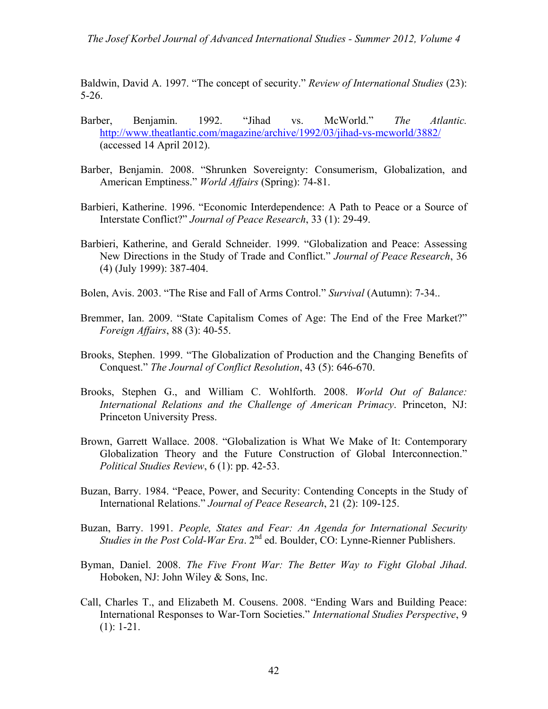*The Josef Korbel Journal of Advanced International Studies - Summer 2012, Volume 4*

Baldwin, David A. 1997. "The concept of security." *Review of International Studies* (23): 5-26.

- Barber, Benjamin. 1992. "Jihad vs. McWorld." *The Atlantic.* http://www.theatlantic.com/magazine/archive/1992/03/jihad-vs-mcworld/3882/ (accessed 14 April 2012).
- Barber, Benjamin. 2008. "Shrunken Sovereignty: Consumerism, Globalization, and American Emptiness." *World Affairs* (Spring): 74-81.
- Barbieri, Katherine. 1996. "Economic Interdependence: A Path to Peace or a Source of Interstate Conflict?" *Journal of Peace Research*, 33 (1): 29-49.
- Barbieri, Katherine, and Gerald Schneider. 1999. "Globalization and Peace: Assessing New Directions in the Study of Trade and Conflict." *Journal of Peace Research*, 36 (4) (July 1999): 387-404.
- Bolen, Avis. 2003. "The Rise and Fall of Arms Control." *Survival* (Autumn): 7-34..
- Bremmer, Ian. 2009. "State Capitalism Comes of Age: The End of the Free Market?" *Foreign Affairs*, 88 (3): 40-55.
- Brooks, Stephen. 1999. "The Globalization of Production and the Changing Benefits of Conquest." *The Journal of Conflict Resolution*, 43 (5): 646-670.
- Brooks, Stephen G., and William C. Wohlforth. 2008. *World Out of Balance: International Relations and the Challenge of American Primacy*. Princeton, NJ: Princeton University Press.
- Brown, Garrett Wallace. 2008. "Globalization is What We Make of It: Contemporary Globalization Theory and the Future Construction of Global Interconnection." *Political Studies Review*, 6 (1): pp. 42-53.
- Buzan, Barry. 1984. "Peace, Power, and Security: Contending Concepts in the Study of International Relations." *Journal of Peace Research*, 21 (2): 109-125.
- Buzan, Barry. 1991. *People, States and Fear: An Agenda for International Security Studies in the Post Cold-War Era.* 2<sup>nd</sup> ed. Boulder, CO: Lynne-Rienner Publishers.
- Byman, Daniel. 2008. *The Five Front War: The Better Way to Fight Global Jihad*. Hoboken, NJ: John Wiley & Sons, Inc.
- Call, Charles T., and Elizabeth M. Cousens. 2008. "Ending Wars and Building Peace: International Responses to War-Torn Societies." *International Studies Perspective*, 9 (1): 1-21.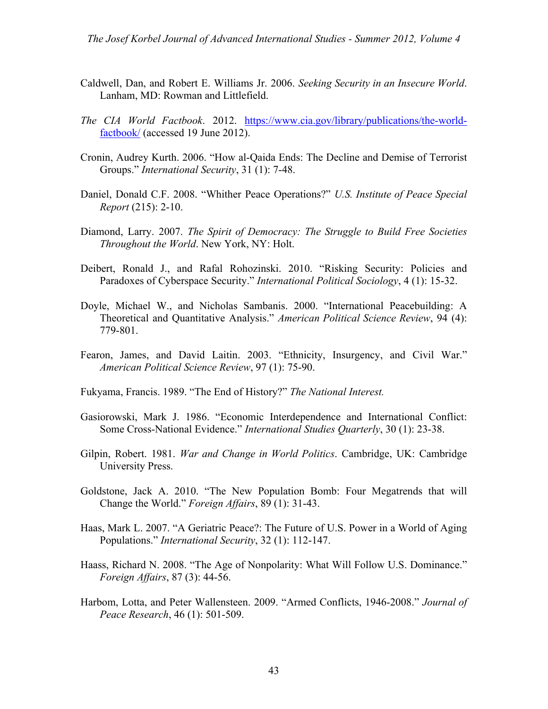- Caldwell, Dan, and Robert E. Williams Jr. 2006. *Seeking Security in an Insecure World*. Lanham, MD: Rowman and Littlefield.
- *The CIA World Factbook*. 2012. https://www.cia.gov/library/publications/the-worldfactbook/ (accessed 19 June 2012).
- Cronin, Audrey Kurth. 2006. "How al-Qaida Ends: The Decline and Demise of Terrorist Groups." *International Security*, 31 (1): 7-48.
- Daniel, Donald C.F. 2008. "Whither Peace Operations?" *U.S. Institute of Peace Special Report* (215): 2-10.
- Diamond, Larry. 2007. *The Spirit of Democracy: The Struggle to Build Free Societies Throughout the World*. New York, NY: Holt.
- Deibert, Ronald J., and Rafal Rohozinski. 2010. "Risking Security: Policies and Paradoxes of Cyberspace Security." *International Political Sociology*, 4 (1): 15-32.
- Doyle, Michael W., and Nicholas Sambanis. 2000. "International Peacebuilding: A Theoretical and Quantitative Analysis." *American Political Science Review*, 94 (4): 779-801.
- Fearon, James, and David Laitin. 2003. "Ethnicity, Insurgency, and Civil War." *American Political Science Review*, 97 (1): 75-90.
- Fukyama, Francis. 1989. "The End of History?" *The National Interest.*
- Gasiorowski, Mark J. 1986. "Economic Interdependence and International Conflict: Some Cross-National Evidence." *International Studies Quarterly*, 30 (1): 23-38.
- Gilpin, Robert. 1981. *War and Change in World Politics*. Cambridge, UK: Cambridge University Press.
- Goldstone, Jack A. 2010. "The New Population Bomb: Four Megatrends that will Change the World." *Foreign Affairs*, 89 (1): 31-43.
- Haas, Mark L. 2007. "A Geriatric Peace?: The Future of U.S. Power in a World of Aging Populations." *International Security*, 32 (1): 112-147.
- Haass, Richard N. 2008. "The Age of Nonpolarity: What Will Follow U.S. Dominance." *Foreign Affairs*, 87 (3): 44-56.
- Harbom, Lotta, and Peter Wallensteen. 2009. "Armed Conflicts, 1946-2008." *Journal of Peace Research*, 46 (1): 501-509.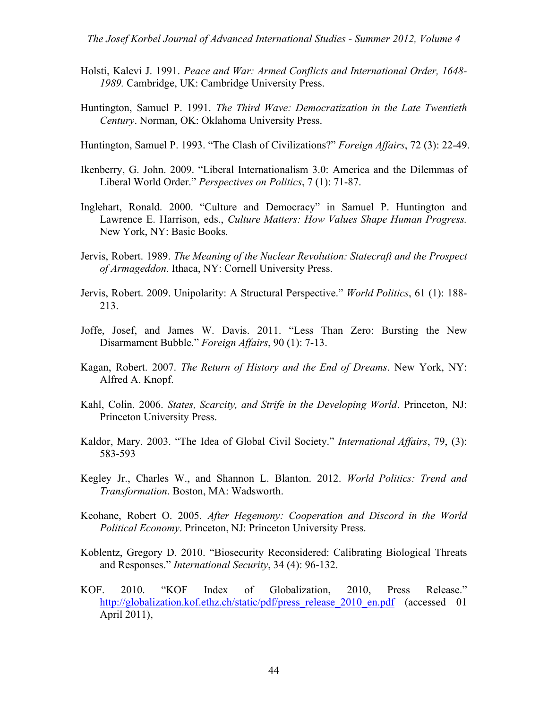- Holsti, Kalevi J. 1991. *Peace and War: Armed Conflicts and International Order, 1648- 1989.* Cambridge, UK: Cambridge University Press.
- Huntington, Samuel P. 1991. *The Third Wave: Democratization in the Late Twentieth Century*. Norman, OK: Oklahoma University Press.
- Huntington, Samuel P. 1993. "The Clash of Civilizations?" *Foreign Affairs*, 72 (3): 22-49.
- Ikenberry, G. John. 2009. "Liberal Internationalism 3.0: America and the Dilemmas of Liberal World Order." *Perspectives on Politics*, 7 (1): 71-87.
- Inglehart, Ronald. 2000. "Culture and Democracy" in Samuel P. Huntington and Lawrence E. Harrison, eds., *Culture Matters: How Values Shape Human Progress.* New York, NY: Basic Books.
- Jervis, Robert. 1989. *The Meaning of the Nuclear Revolution: Statecraft and the Prospect of Armageddon*. Ithaca, NY: Cornell University Press.
- Jervis, Robert. 2009. Unipolarity: A Structural Perspective." *World Politics*, 61 (1): 188- 213.
- Joffe, Josef, and James W. Davis. 2011. "Less Than Zero: Bursting the New Disarmament Bubble." *Foreign Affairs*, 90 (1): 7-13.
- Kagan, Robert. 2007. *The Return of History and the End of Dreams*. New York, NY: Alfred A. Knopf.
- Kahl, Colin. 2006. *States, Scarcity, and Strife in the Developing World*. Princeton, NJ: Princeton University Press.
- Kaldor, Mary. 2003. "The Idea of Global Civil Society." *International Affairs*, 79, (3): 583-593
- Kegley Jr., Charles W., and Shannon L. Blanton. 2012. *World Politics: Trend and Transformation*. Boston, MA: Wadsworth.
- Keohane, Robert O. 2005. *After Hegemony: Cooperation and Discord in the World Political Economy*. Princeton, NJ: Princeton University Press.
- Koblentz, Gregory D. 2010. "Biosecurity Reconsidered: Calibrating Biological Threats and Responses." *International Security*, 34 (4): 96-132.
- KOF. 2010. "KOF Index of Globalization, 2010, Press Release." http://globalization.kof.ethz.ch/static/pdf/press\_release\_2010\_en.pdf (accessed 01 April 2011),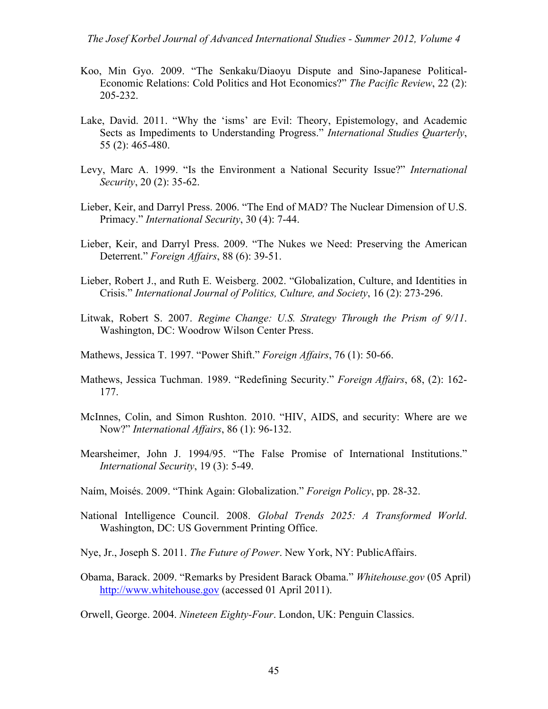- Koo, Min Gyo. 2009. "The Senkaku/Diaoyu Dispute and Sino-Japanese Political-Economic Relations: Cold Politics and Hot Economics?" *The Pacific Review*, 22 (2): 205-232.
- Lake, David. 2011. "Why the 'isms' are Evil: Theory, Epistemology, and Academic Sects as Impediments to Understanding Progress." *International Studies Quarterly*, 55 (2): 465-480.
- Levy, Marc A. 1999. "Is the Environment a National Security Issue?" *International Security*, 20 (2): 35-62.
- Lieber, Keir, and Darryl Press. 2006. "The End of MAD? The Nuclear Dimension of U.S. Primacy." *International Security*, 30 (4): 7-44.
- Lieber, Keir, and Darryl Press. 2009. "The Nukes we Need: Preserving the American Deterrent." *Foreign Affairs*, 88 (6): 39-51.
- Lieber, Robert J., and Ruth E. Weisberg. 2002. "Globalization, Culture, and Identities in Crisis." *International Journal of Politics, Culture, and Society*, 16 (2): 273-296.
- Litwak, Robert S. 2007. *Regime Change: U.S. Strategy Through the Prism of 9/11*. Washington, DC: Woodrow Wilson Center Press.
- Mathews, Jessica T. 1997. "Power Shift." *Foreign Affairs*, 76 (1): 50-66.
- Mathews, Jessica Tuchman. 1989. "Redefining Security." *Foreign Affairs*, 68, (2): 162- 177.
- McInnes, Colin, and Simon Rushton. 2010. "HIV, AIDS, and security: Where are we Now?" *International Affairs*, 86 (1): 96-132.
- Mearsheimer, John J. 1994/95. "The False Promise of International Institutions." *International Security*, 19 (3): 5-49.
- Naím, Moisés. 2009. "Think Again: Globalization." *Foreign Policy*, pp. 28-32.
- National Intelligence Council. 2008. *Global Trends 2025: A Transformed World*. Washington, DC: US Government Printing Office.
- Nye, Jr., Joseph S. 2011. *The Future of Power*. New York, NY: PublicAffairs.
- Obama, Barack. 2009. "Remarks by President Barack Obama." *Whitehouse.gov* (05 April) http://www.whitehouse.gov (accessed 01 April 2011).

Orwell, George. 2004. *Nineteen Eighty-Four*. London, UK: Penguin Classics.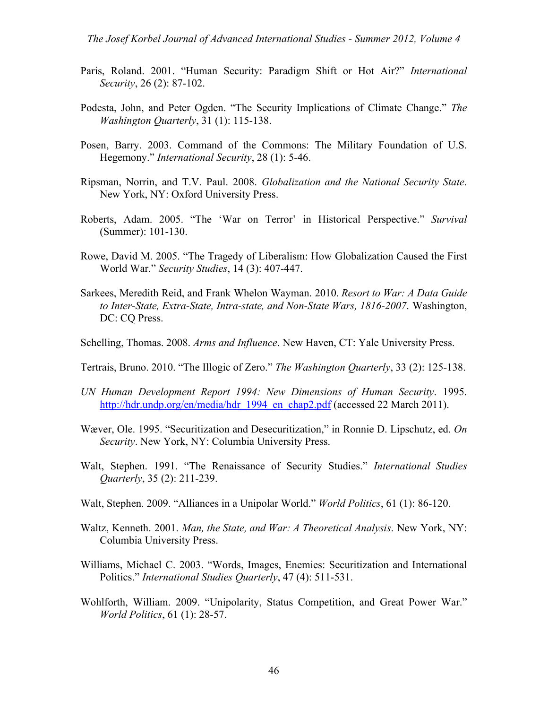- Paris, Roland. 2001. "Human Security: Paradigm Shift or Hot Air?" *International Security*, 26 (2): 87-102.
- Podesta, John, and Peter Ogden. "The Security Implications of Climate Change." *The Washington Quarterly*, 31 (1): 115-138.
- Posen, Barry. 2003. Command of the Commons: The Military Foundation of U.S. Hegemony." *International Security*, 28 (1): 5-46.
- Ripsman, Norrin, and T.V. Paul. 2008. *Globalization and the National Security State*. New York, NY: Oxford University Press.
- Roberts, Adam. 2005. "The 'War on Terror' in Historical Perspective." *Survival* (Summer): 101-130.
- Rowe, David M. 2005. "The Tragedy of Liberalism: How Globalization Caused the First World War." *Security Studies*, 14 (3): 407-447.
- Sarkees, Meredith Reid, and Frank Whelon Wayman. 2010. *Resort to War: A Data Guide to Inter-State, Extra-State, Intra-state, and Non-State Wars, 1816-2007*. Washington, DC: CQ Press.
- Schelling, Thomas. 2008. *Arms and Influence*. New Haven, CT: Yale University Press.
- Tertrais, Bruno. 2010. "The Illogic of Zero." *The Washington Quarterly*, 33 (2): 125-138.
- *UN Human Development Report 1994: New Dimensions of Human Security*. 1995. http://hdr.undp.org/en/media/hdr 1994 en chap2.pdf (accessed 22 March 2011).
- Wæver, Ole. 1995. "Securitization and Desecuritization," in Ronnie D. Lipschutz, ed. *On Security*. New York, NY: Columbia University Press.
- Walt, Stephen. 1991. "The Renaissance of Security Studies." *International Studies Quarterly*, 35 (2): 211-239.
- Walt, Stephen. 2009. "Alliances in a Unipolar World." *World Politics*, 61 (1): 86-120.
- Waltz, Kenneth. 2001. *Man, the State, and War: A Theoretical Analysis*. New York, NY: Columbia University Press.
- Williams, Michael C. 2003. "Words, Images, Enemies: Securitization and International Politics." *International Studies Quarterly*, 47 (4): 511-531.
- Wohlforth, William. 2009. "Unipolarity, Status Competition, and Great Power War." *World Politics*, 61 (1): 28-57.